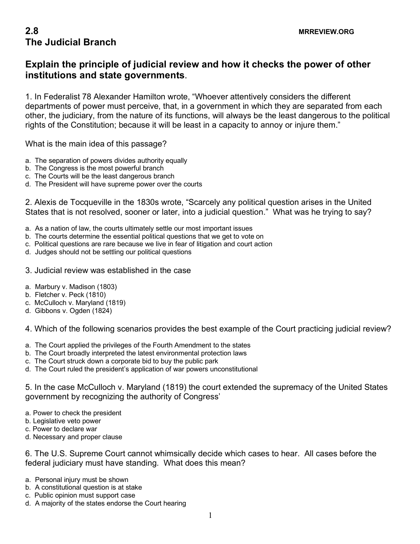## **2.8 MRREVIEW.ORG The Judicial Branch**

## **Explain the principle of judicial review and how it checks the power of other institutions and state governments**.

1. In Federalist 78 Alexander Hamilton wrote, "Whoever attentively considers the different departments of power must perceive, that, in a government in which they are separated from each other, the judiciary, from the nature of its functions, will always be the least dangerous to the political rights of the Constitution; because it will be least in a capacity to annoy or injure them."

What is the main idea of this passage?

- a. The separation of powers divides authority equally
- b. The Congress is the most powerful branch
- c. The Courts will be the least dangerous branch
- d. The President will have supreme power over the courts

2. Alexis de Tocqueville in the 1830s wrote, "Scarcely any political question arises in the United States that is not resolved, sooner or later, into a judicial question." What was he trying to say?

- a. As a nation of law, the courts ultimately settle our most important issues
- b. The courts determine the essential political questions that we get to vote on
- c. Political questions are rare because we live in fear of litigation and court action
- d. Judges should not be settling our political questions
- 3. Judicial review was established in the case
- a. Marbury v. Madison (1803)
- b. Fletcher v. Peck (1810)
- c. McCulloch v. Maryland (1819)
- d. Gibbons v. Ogden (1824)

4. Which of the following scenarios provides the best example of the Court practicing judicial review?

- a. The Court applied the privileges of the Fourth Amendment to the states
- b. The Court broadly interpreted the latest environmental protection laws
- c. The Court struck down a corporate bid to buy the public park
- d. The Court ruled the president's application of war powers unconstitutional

5. In the case McCulloch v. Maryland (1819) the court extended the supremacy of the United States government by recognizing the authority of Congress'

- a. Power to check the president
- b. Legislative veto power
- c. Power to declare war
- d. Necessary and proper clause

6. The U.S. Supreme Court cannot whimsically decide which cases to hear. All cases before the federal judiciary must have standing. What does this mean?

- a. Personal injury must be shown
- b. A constitutional question is at stake
- c. Public opinion must support case
- d. A majority of the states endorse the Court hearing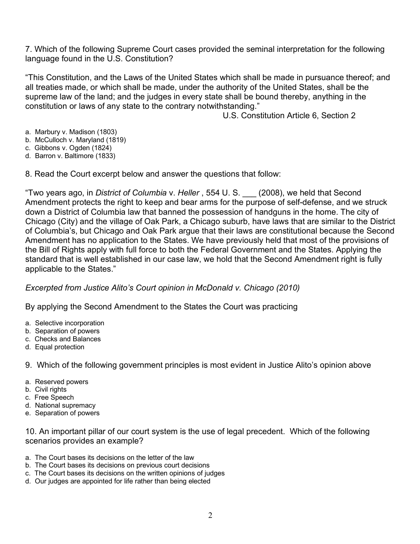7. Which of the following Supreme Court cases provided the seminal interpretation for the following language found in the U.S. Constitution?

"This Constitution, and the Laws of the United States which shall be made in pursuance thereof; and all treaties made, or which shall be made, under the authority of the United States, shall be the supreme law of the land; and the judges in every state shall be bound thereby, anything in the constitution or laws of any state to the contrary notwithstanding."

U.S. Constitution Article 6, Section 2

- a. Marbury v. Madison (1803)
- b. McCulloch v. Maryland (1819)
- c. Gibbons v. Ogden (1824)
- d. Barron v. Baltimore (1833)

8. Read the Court excerpt below and answer the questions that follow:

"Two years ago, in *District of Columbia* v. *Heller* , 554 U. S. \_\_\_ (2008), we held that Second Amendment protects the right to keep and bear arms for the purpose of self-defense, and we struck down a District of Columbia law that banned the possession of handguns in the home. The city of Chicago (City) and the village of Oak Park, a Chicago suburb, have laws that are similar to the District of Columbia's, but Chicago and Oak Park argue that their laws are constitutional because the Second Amendment has no application to the States. We have previously held that most of the provisions of the Bill of Rights apply with full force to both the Federal Government and the States. Applying the standard that is well established in our case law, we hold that the Second Amendment right is fully applicable to the States."

*Excerpted from Justice Alito's Court opinion in McDonald v. Chicago (2010)*

By applying the Second Amendment to the States the Court was practicing

- a. Selective incorporation
- b. Separation of powers
- c. Checks and Balances
- d. Equal protection

9. Which of the following government principles is most evident in Justice Alito's opinion above

- a. Reserved powers
- b. Civil rights
- c. Free Speech
- d. National supremacy
- e. Separation of powers

10. An important pillar of our court system is the use of legal precedent. Which of the following scenarios provides an example?

- a. The Court bases its decisions on the letter of the law
- b. The Court bases its decisions on previous court decisions
- c. The Court bases its decisions on the written opinions of judges
- d. Our judges are appointed for life rather than being elected